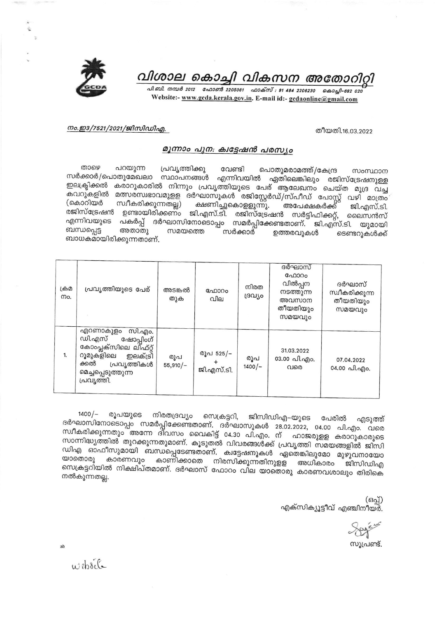

### വിശാല കൊച്ചി വികസന അതോറിറ്റി

പി.ബി. നമ്പർ 2012 - ഫോൺ 2205061 - ഫാക്സ് : 91 484 2206230 - കൊച്ചി-682 020 Website:- www.gcda.kerala.gov.in. E-mail id:- gcdaonline@gmail.com

#### നം.ഇ3/7521/2021/ജിസിഡിഎ.

തീയതി.16.03.2022

#### മൂന്നാം പുന: ക്വട്ടേഷൻ പരസ്യം

താഴെ പറയുന്ന പ്രവൃത്തിക്കു വേണ്ടി പൊതുമരാമത്ത്/കേന്ദ്ര സംസ്ഥാന സർക്കാർ/പൊതുമേഖലാ സ്ഥാപനങ്ങൾ എന്നിവയിൽ ഏതിലെങ്കിലും രജിസ്ട്രേഷനുള്ള ഇലക്ട്രിക്കൽ കരാറുകാരിൽ നിന്നും പ്രവൃത്തിയുടെ പേര് ആലേഖനം ചെയ്ത മുദ്ര വച്ച കവറുകളിൽ മത്സരസ്വഭാവമുളള ദർഘാസുകൾ രജിസ്റ്റേർഡ്/സ്പീഡ് പോസ്റ്റ് വഴി മാത്രം (കൊറിയർ ക്ഷണിച്ചുകൊളളുന്നു. അപേക്ഷകർക്ക് സ്വീകരിക്കുന്നതല്ല) ജി.എസ്.ടി. രജിസ്ട്രേഷൻ ഉണ്ടായിരിക്കണം ജി.എസ്.ടി. രജിസ്ട്രേഷൻ സർട്ടിഫിക്കറ്റ്, ലൈസൻസ് എന്നിവയുടെ പകർപ്പ് ദർഘാസിനോടൊപ്പം സമർപ്പിക്കേണ്ടതാണ്. ജി.എസ്.ടി. യുമായി ബന്ധപ്പെട്ട അതാതു സമയത്തെ സർക്കാർ ഉത്തരവ്വകൾ ടെണ്ടറുകൾക്ക് ബാധകമായിരിക്കുന്നതാണ്.

| டும<br>mo. | പ്രവൃത്തിയുടെ പേര്                                                                                                                                      | അടങ്കൽ<br>തുക     | ഫോറം<br>വില             | നിരത<br>ദ്രവ്യം | ദർഘാസ്<br>ഫോറം<br>വിൽപ്പന<br>നടത്തുന്ന<br>അവസാന<br>തീയതിയും<br>സമയവും | ദർഘാസ്<br>സ്വീകരിക്കുന്ന<br>തീയതിയും<br>സമയവും |
|------------|---------------------------------------------------------------------------------------------------------------------------------------------------------|-------------------|-------------------------|-----------------|-----------------------------------------------------------------------|------------------------------------------------|
| 1.         | സി.എം.<br>എറണാകുളം<br>ഡി.എസ്<br>ഷോപ്പിംഗ്<br>കോംപ്ലക്സിലെ ലിഫ്റ്റ്<br>റൂമുകളിലെ<br>ഇലക്ട്രി<br>ക്കൽ<br>പ്രവൃത്തികൾ<br>മെച്ചപ്പെടുത്തുന്ന<br>പ്രവ്യത്തി. | രുപ<br>$55,910/-$ | രൂപ 525/–<br>ജി.എസ്.ടി. | രൂപ<br>$1400/-$ | 31.03.2022<br>03.00 வி.வு)o.<br>വരെ                                   | 07.04.2022<br>04.00 வி.എo.                     |

 $1400/-$ രൂപയുടെ നിരതദ്രവ്യം സെക്രട്ടറി, ജിസിഡിഎ–യുടെ പേരിൽ എടുത്ത് ദർഘാസിനോടൊപ്പം സമർപ്പിക്കേണ്ടതാണ്. ദർഘാസുകൾ 28.02.2022, 04.00 പി.എം. വരെ സ്ഥീകരിക്കുന്നതും അന്നേ ദിവസം വൈകിട്ട് 04.30 പി.എം. ന് ഹാജരുളള കരാറുകാരുടെ സാന്നിദ്ധ്യത്തിൽ തുറക്കുന്നതുമാണ്. കൂടുതൽ വിവരങ്ങൾക്ക് പ്രവൃത്തി സമയങ്ങളിൽ ജിസി ഡിഎ ഓഫീസുമായി ബന്ധപ്പെടേണ്ടതാണ്. ക്വട്ടേഷനുകൾ ഏതെങ്കിലുമോ മുഴുവനായോ കാരണവും കാണിക്കാതെ നിരസിക്കുന്നതിനുളള അധികാരം ജിസിഡിഎ യാതൊരു സെക്രട്ടറിയിൽ നിക്ഷിപ്തമാണ്. ദർഘാസ് ഫോറം വില യാതൊരു കാരണവശാലും തിരികെ നൽകുന്നതല്ല.

> (ഒപ്പ്) എക്സിക്യൂട്ടീവ് എഞ്ചിനീയർ.

സുപ്രണ്ട്.

website

ab